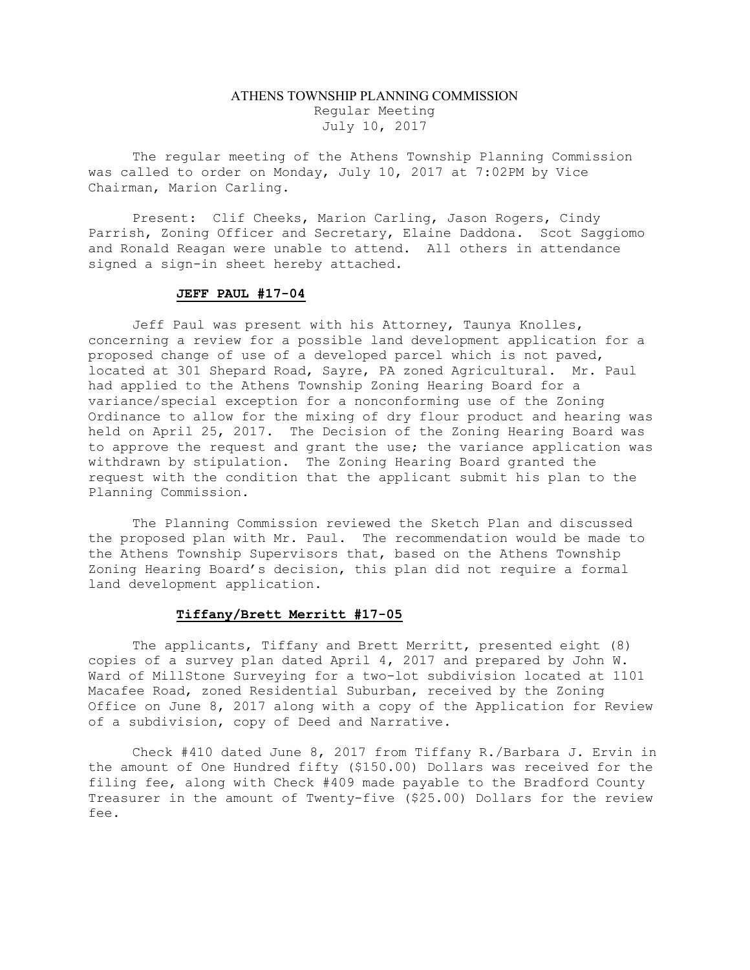## ATHENS TOWNSHIP PLANNING COMMISSION Regular Meeting July 10, 2017

The regular meeting of the Athens Township Planning Commission was called to order on Monday, July 10, 2017 at 7:02PM by Vice Chairman, Marion Carling.

Present: Clif Cheeks, Marion Carling, Jason Rogers, Cindy Parrish, Zoning Officer and Secretary, Elaine Daddona. Scot Saggiomo and Ronald Reagan were unable to attend. All others in attendance signed a sign-in sheet hereby attached.

## JEFF PAUL #17-04

Jeff Paul was present with his Attorney, Taunya Knolles, concerning a review for a possible land development application for a proposed change of use of a developed parcel which is not paved, located at 301 Shepard Road, Sayre, PA zoned Agricultural. Mr. Paul had applied to the Athens Township Zoning Hearing Board for a variance/special exception for a nonconforming use of the Zoning Ordinance to allow for the mixing of dry flour product and hearing was held on April 25, 2017. The Decision of the Zoning Hearing Board was to approve the request and grant the use; the variance application was withdrawn by stipulation. The Zoning Hearing Board granted the request with the condition that the applicant submit his plan to the Planning Commission.

The Planning Commission reviewed the Sketch Plan and discussed the proposed plan with Mr. Paul. The recommendation would be made to the Athens Township Supervisors that, based on the Athens Township Zoning Hearing Board's decision, this plan did not require a formal land development application.

## Tiffany/Brett Merritt #17-05

The applicants, Tiffany and Brett Merritt, presented eight (8) copies of a survey plan dated April 4, 2017 and prepared by John W. Ward of MillStone Surveying for a two-lot subdivision located at 1101 Macafee Road, zoned Residential Suburban, received by the Zoning Office on June 8, 2017 along with a copy of the Application for Review of a subdivision, copy of Deed and Narrative.

Check #410 dated June 8, 2017 from Tiffany R./Barbara J. Ervin in the amount of One Hundred fifty (\$150.00) Dollars was received for the filing fee, along with Check #409 made payable to the Bradford County Treasurer in the amount of Twenty-five (\$25.00) Dollars for the review fee.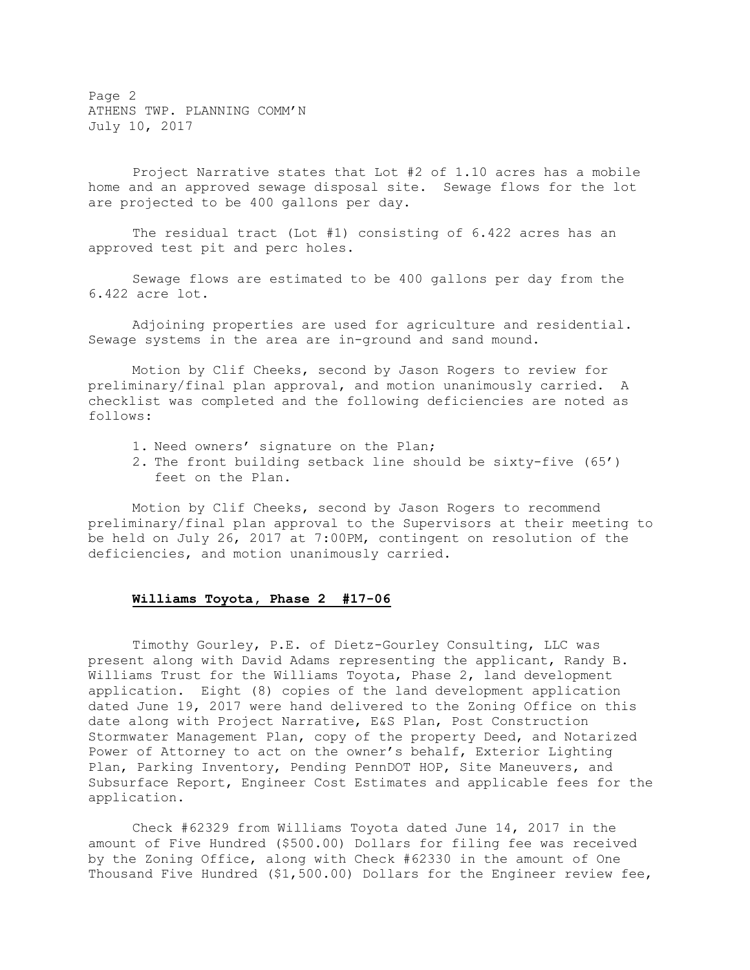Page 2 ATHENS TWP. PLANNING COMM'N July 10, 2017

Project Narrative states that Lot #2 of 1.10 acres has a mobile home and an approved sewage disposal site. Sewage flows for the lot are projected to be 400 gallons per day.

The residual tract (Lot #1) consisting of 6.422 acres has an approved test pit and perc holes.

Sewage flows are estimated to be 400 gallons per day from the 6.422 acre lot.

Adjoining properties are used for agriculture and residential. Sewage systems in the area are in-ground and sand mound.

Motion by Clif Cheeks, second by Jason Rogers to review for preliminary/final plan approval, and motion unanimously carried. A checklist was completed and the following deficiencies are noted as follows:

- 1. Need owners' signature on the Plan;
- 2. The front building setback line should be sixty-five (65') feet on the Plan.

Motion by Clif Cheeks, second by Jason Rogers to recommend preliminary/final plan approval to the Supervisors at their meeting to be held on July 26, 2017 at 7:00PM, contingent on resolution of the deficiencies, and motion unanimously carried.

## Williams Toyota, Phase 2 #17-06

Timothy Gourley, P.E. of Dietz-Gourley Consulting, LLC was present along with David Adams representing the applicant, Randy B. Williams Trust for the Williams Toyota, Phase 2, land development application. Eight (8) copies of the land development application dated June 19, 2017 were hand delivered to the Zoning Office on this date along with Project Narrative, E&S Plan, Post Construction Stormwater Management Plan, copy of the property Deed, and Notarized Power of Attorney to act on the owner's behalf, Exterior Lighting Plan, Parking Inventory, Pending PennDOT HOP, Site Maneuvers, and Subsurface Report, Engineer Cost Estimates and applicable fees for the application.

Check #62329 from Williams Toyota dated June 14, 2017 in the amount of Five Hundred (\$500.00) Dollars for filing fee was received by the Zoning Office, along with Check #62330 in the amount of One Thousand Five Hundred (\$1,500.00) Dollars for the Engineer review fee,